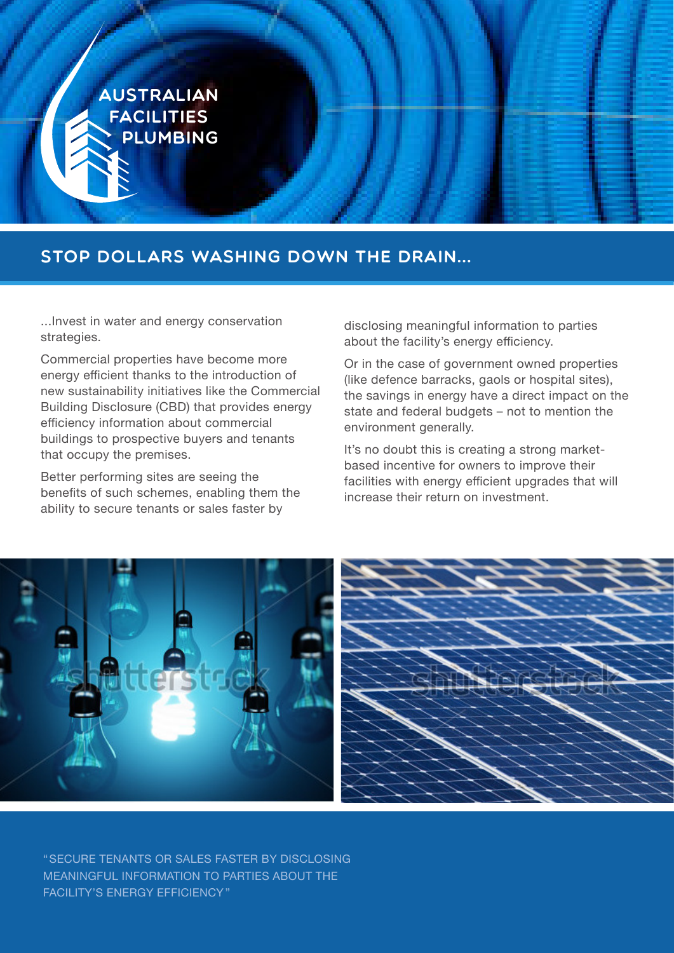

# Stop dollars washing down the drain...

...Invest in water and energy conservation strategies.

Commercial properties have become more energy efficient thanks to the introduction of new sustainability initiatives like the Commercial Building Disclosure (CBD) that provides energy efficiency information about commercial buildings to prospective buyers and tenants that occupy the premises.

Better performing sites are seeing the benefits of such schemes, enabling them the ability to secure tenants or sales faster by

disclosing meaningful information to parties about the facility's energy efficiency.

Or in the case of government owned properties (like defence barracks, gaols or hospital sites), the savings in energy have a direct impact on the state and federal budgets – not to mention the environment generally.

It's no doubt this is creating a strong marketbased incentive for owners to improve their facilities with energy efficient upgrades that will increase their return on investment.



"SECURE TENANTS OR SALES FASTER BY DISCLOSING MEANINGFUL INFORMATION TO PARTIES ABOUT THE FACILITY'S ENERGY EFFICIENCY "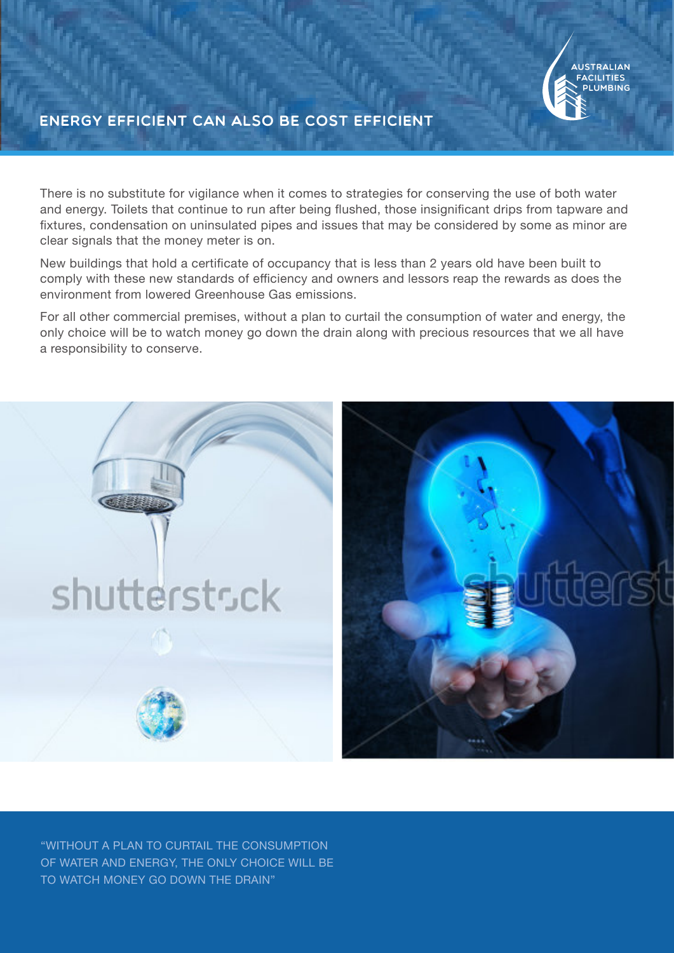

## Energy efficient can also be cost efficient

There is no substitute for vigilance when it comes to strategies for conserving the use of both water and energy. Toilets that continue to run after being flushed, those insignificant drips from tapware and fixtures, condensation on uninsulated pipes and issues that may be considered by some as minor are clear signals that the money meter is on.

New buildings that hold a certificate of occupancy that is less than 2 years old have been built to comply with these new standards of efficiency and owners and lessors reap the rewards as does the environment from lowered Greenhouse Gas emissions.

For all other commercial premises, without a plan to curtail the consumption of water and energy, the only choice will be to watch money go down the drain along with precious resources that we all have a responsibility to conserve.



"WITHOUT A PLAN TO CURTAIL THE CONSUMPTION OF WATER AND ENERGY, THE ONLY CHOICE WILL BE TO WATCH MONEY GO DOWN THE DRAIN"